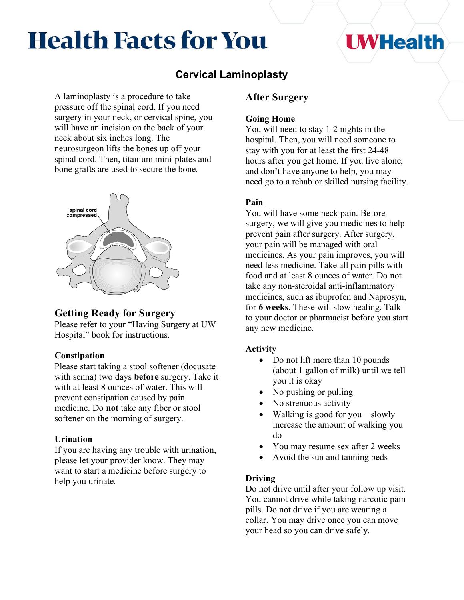# **Health Facts for You**

## **I WHealth**

## **Cervical Laminoplasty**

A laminoplasty is a procedure to take pressure off the spinal cord. If you need surgery in your neck, or cervical spine, you will have an incision on the back of your neck about six inches long. The neurosurgeon lifts the bones up off your spinal cord. Then, titanium mini-plates and bone grafts are used to secure the bone.



## **Getting Ready for Surgery**

Please refer to your "Having Surgery at UW Hospital" book for instructions.

### **Constipation**

Please start taking a stool softener (docusate with senna) two days **before** surgery. Take it with at least 8 ounces of water. This will prevent constipation caused by pain medicine. Do **not** take any fiber or stool softener on the morning of surgery.

#### **Urination**

If you are having any trouble with urination, please let your provider know. They may want to start a medicine before surgery to help you urinate.

## **After Surgery**

#### **Going Home**

You will need to stay 1-2 nights in the hospital. Then, you will need someone to stay with you for at least the first 24-48 hours after you get home. If you live alone, and don't have anyone to help, you may need go to a rehab or skilled nursing facility.

#### **Pain**

You will have some neck pain. Before surgery, we will give you medicines to help prevent pain after surgery. After surgery, your pain will be managed with oral medicines. As your pain improves, you will need less medicine. Take all pain pills with food and at least 8 ounces of water. Do not take any non-steroidal anti-inflammatory medicines, such as ibuprofen and Naprosyn, for **6 weeks**. These will slow healing. Talk to your doctor or pharmacist before you start any new medicine.

#### **Activity**

- Do not lift more than 10 pounds (about 1 gallon of milk) until we tell you it is okay
- No pushing or pulling
- No strenuous activity
- Walking is good for you—slowly increase the amount of walking you do
- You may resume sex after 2 weeks
- Avoid the sun and tanning beds

#### **Driving**

Do not drive until after your follow up visit. You cannot drive while taking narcotic pain pills. Do not drive if you are wearing a collar. You may drive once you can move your head so you can drive safely.